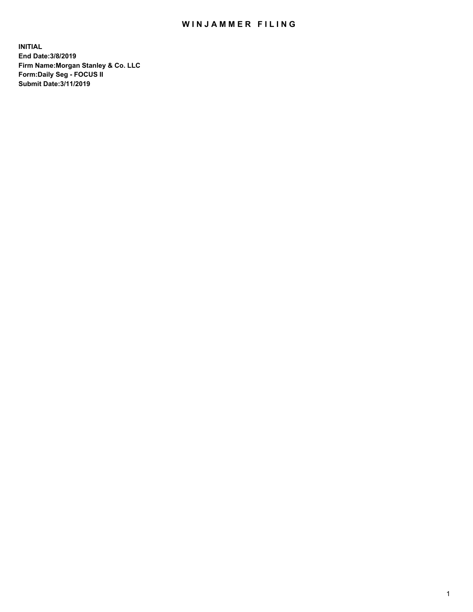## WIN JAMMER FILING

**INITIAL End Date:3/8/2019 Firm Name:Morgan Stanley & Co. LLC Form:Daily Seg - FOCUS II Submit Date:3/11/2019**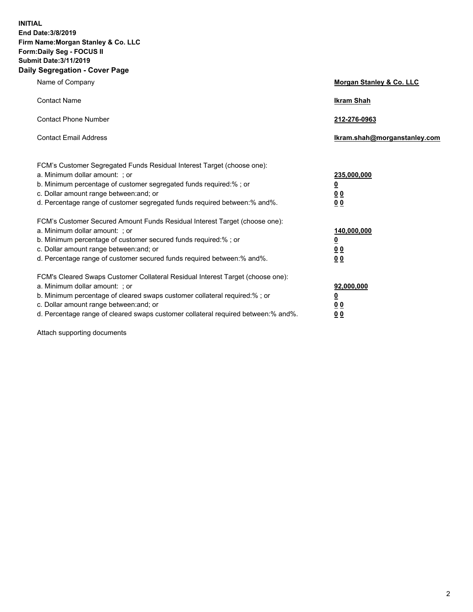**INITIAL End Date:3/8/2019 Firm Name:Morgan Stanley & Co. LLC Form:Daily Seg - FOCUS II Submit Date:3/11/2019 Daily Segregation - Cover Page**

| Name of Company                                                                                                                                                                                                                                                                                                                | Morgan Stanley & Co. LLC                                |
|--------------------------------------------------------------------------------------------------------------------------------------------------------------------------------------------------------------------------------------------------------------------------------------------------------------------------------|---------------------------------------------------------|
| <b>Contact Name</b>                                                                                                                                                                                                                                                                                                            | <b>Ikram Shah</b>                                       |
| <b>Contact Phone Number</b>                                                                                                                                                                                                                                                                                                    | 212-276-0963                                            |
| <b>Contact Email Address</b>                                                                                                                                                                                                                                                                                                   | Ikram.shah@morganstanley.com                            |
| FCM's Customer Segregated Funds Residual Interest Target (choose one):<br>a. Minimum dollar amount: ; or<br>b. Minimum percentage of customer segregated funds required:% ; or<br>c. Dollar amount range between: and; or<br>d. Percentage range of customer segregated funds required between:% and%.                         | 235,000,000<br><u>0</u><br>0 <sup>0</sup><br>00         |
| FCM's Customer Secured Amount Funds Residual Interest Target (choose one):<br>a. Minimum dollar amount: ; or<br>b. Minimum percentage of customer secured funds required:%; or<br>c. Dollar amount range between: and; or<br>d. Percentage range of customer secured funds required between:% and%.                            | 140,000,000<br><u>0</u><br><u>0 0</u><br>0 <sub>0</sub> |
| FCM's Cleared Swaps Customer Collateral Residual Interest Target (choose one):<br>a. Minimum dollar amount: ; or<br>b. Minimum percentage of cleared swaps customer collateral required:% ; or<br>c. Dollar amount range between: and; or<br>d. Percentage range of cleared swaps customer collateral required between:% and%. | 92,000,000<br><u>0</u><br><u>00</u><br>0 <sub>0</sub>   |

Attach supporting documents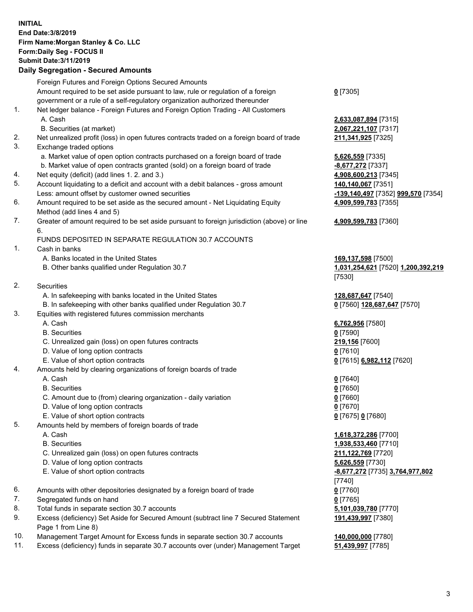## **INITIAL End Date:3/8/2019 Firm Name:Morgan Stanley & Co. LLC Form:Daily Seg - FOCUS II Submit Date:3/11/2019 Daily Segregation - Secured Amounts**

Foreign Futures and Foreign Options Secured Amounts Amount required to be set aside pursuant to law, rule or regulation of a foreign government or a rule of a self-regulatory organization authorized thereunder 1. Net ledger balance - Foreign Futures and Foreign Option Trading - All Customers A. Cash **2,633,087,894** [7315] B. Securities (at market) **2,067,221,107** [7317] 2. Net unrealized profit (loss) in open futures contracts traded on a foreign board of trade **211,341,925** [7325] 3. Exchange traded options a. Market value of open option contracts purchased on a foreign board of trade **5,626,559** [7335] b. Market value of open contracts granted (sold) on a foreign board of trade **-8,677,272** [7337] 4. Net equity (deficit) (add lines 1. 2. and 3.) **4,908,600,213** [7345] 5. Account liquidating to a deficit and account with a debit balances - gross amount **140,140,067** [7351] Less: amount offset by customer owned securities **-139,140,497** [7352] **999,570** [7354] 6. Amount required to be set aside as the secured amount - Net Liquidating Equity Method (add lines 4 and 5) 7. Greater of amount required to be set aside pursuant to foreign jurisdiction (above) or line 6. FUNDS DEPOSITED IN SEPARATE REGULATION 30.7 ACCOUNTS 1. Cash in banks A. Banks located in the United States **169,137,598** [7500] B. Other banks qualified under Regulation 30.7 **1,031,254,621** [7520] **1,200,392,219** 2. Securities A. In safekeeping with banks located in the United States **128,687,647** [7540] B. In safekeeping with other banks qualified under Regulation 30.7 **0** [7560] **128,687,647** [7570] 3. Equities with registered futures commission merchants A. Cash **6,762,956** [7580] B. Securities **0** [7590] C. Unrealized gain (loss) on open futures contracts **219,156** [7600] D. Value of long option contracts **0** [7610] E. Value of short option contracts **0** [7615] **6,982,112** [7620] 4. Amounts held by clearing organizations of foreign boards of trade A. Cash **0** [7640] B. Securities **0** [7650] C. Amount due to (from) clearing organization - daily variation **0** [7660] D. Value of long option contracts **0** [7670] E. Value of short option contracts **0** [7675] **0** [7680] 5. Amounts held by members of foreign boards of trade A. Cash **1,618,372,286** [7700] B. Securities **1,938,533,460** [7710] C. Unrealized gain (loss) on open futures contracts **211,122,769** [7720] D. Value of long option contracts **5,626,559** [7730] E. Value of short option contracts **-8,677,272** [7735] **3,764,977,802** 6. Amounts with other depositories designated by a foreign board of trade **0** [7760] 7. Segregated funds on hand **0** [7765] 8. Total funds in separate section 30.7 accounts **5,101,039,780** [7770] 9. Excess (deficiency) Set Aside for Secured Amount (subtract line 7 Secured Statement Page 1 from Line 8)

- 10. Management Target Amount for Excess funds in separate section 30.7 accounts **140,000,000** [7780]
- 11. Excess (deficiency) funds in separate 30.7 accounts over (under) Management Target **51,439,997** [7785]

**0** [7305]

**4,909,599,783** [7355]

**4,909,599,783** [7360]

[7530]

[7740] **191,439,997** [7380]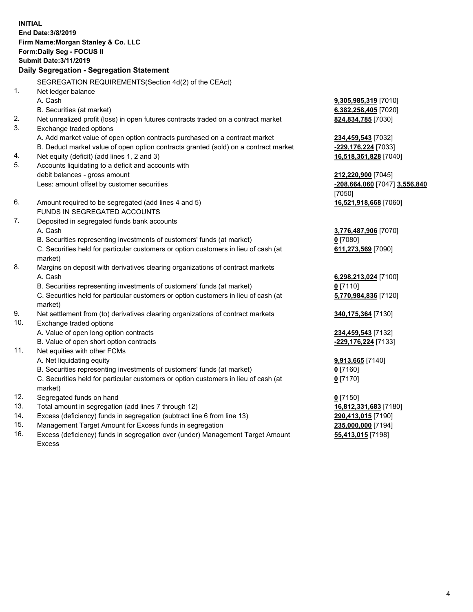**INITIAL End Date:3/8/2019 Firm Name:Morgan Stanley & Co. LLC Form:Daily Seg - FOCUS II Submit Date:3/11/2019 Daily Segregation - Segregation Statement** SEGREGATION REQUIREMENTS(Section 4d(2) of the CEAct) 1. Net ledger balance A. Cash **9,305,985,319** [7010] B. Securities (at market) **6,382,258,405** [7020] 2. Net unrealized profit (loss) in open futures contracts traded on a contract market **824,834,785** [7030] 3. Exchange traded options A. Add market value of open option contracts purchased on a contract market **234,459,543** [7032] B. Deduct market value of open option contracts granted (sold) on a contract market **-229,176,224** [7033] 4. Net equity (deficit) (add lines 1, 2 and 3) **16,518,361,828** [7040] 5. Accounts liquidating to a deficit and accounts with debit balances - gross amount **212,220,900** [7045] Less: amount offset by customer securities **-208,664,060** [7047] **3,556,840** [7050] 6. Amount required to be segregated (add lines 4 and 5) **16,521,918,668** [7060] FUNDS IN SEGREGATED ACCOUNTS 7. Deposited in segregated funds bank accounts A. Cash **3,776,487,906** [7070] B. Securities representing investments of customers' funds (at market) **0** [7080] C. Securities held for particular customers or option customers in lieu of cash (at market) **611,273,569** [7090] 8. Margins on deposit with derivatives clearing organizations of contract markets A. Cash **6,298,213,024** [7100] B. Securities representing investments of customers' funds (at market) **0** [7110] C. Securities held for particular customers or option customers in lieu of cash (at market) **5,770,984,836** [7120] 9. Net settlement from (to) derivatives clearing organizations of contract markets **340,175,364** [7130] 10. Exchange traded options A. Value of open long option contracts **234,459,543** [7132] B. Value of open short option contracts **-229,176,224** [7133] 11. Net equities with other FCMs A. Net liquidating equity **9,913,665** [7140] B. Securities representing investments of customers' funds (at market) **0** [7160] C. Securities held for particular customers or option customers in lieu of cash (at market) **0** [7170] 12. Segregated funds on hand **0** [7150] 13. Total amount in segregation (add lines 7 through 12) **16,812,331,683** [7180] 14. Excess (deficiency) funds in segregation (subtract line 6 from line 13) **290,413,015** [7190]

- 15. Management Target Amount for Excess funds in segregation **235,000,000** [7194]
- 16. Excess (deficiency) funds in segregation over (under) Management Target Amount Excess

**55,413,015** [7198]